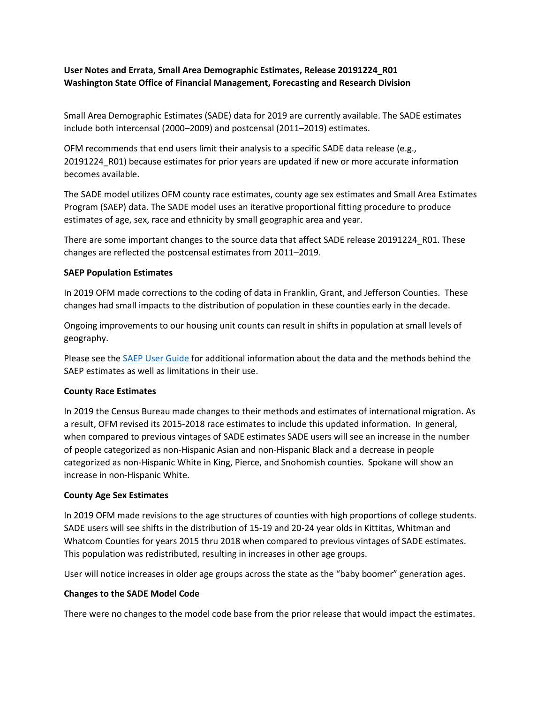# **User Notes and Errata, Small Area Demographic Estimates, Release 20191224\_R01 Washington State Office of Financial Management, Forecasting and Research Division**

Small Area Demographic Estimates (SADE) data for 2019 are currently available. The SADE estimates include both intercensal (2000–2009) and postcensal (2011–2019) estimates.

OFM recommends that end users limit their analysis to a specific SADE data release (e.g., 20191224\_R01) because estimates for prior years are updated if new or more accurate information becomes available.

The SADE model utilizes OFM county race estimates, county age sex estimates and Small Area Estimates Program (SAEP) data. The SADE model uses an iterative proportional fitting procedure to produce estimates of age, sex, race and ethnicity by small geographic area and year.

There are some important changes to the source data that affect SADE release 20191224 R01. These changes are reflected the postcensal estimates from 2011–2019.

#### **SAEP Population Estimates**

In 2019 OFM made corrections to the coding of data in Franklin, Grant, and Jefferson Counties. These changes had small impacts to the distribution of population in these counties early in the decade.

Ongoing improvements to our housing unit counts can result in shifts in population at small levels of geography.

Please see the [SAEP User Guide f](http://www.ofm.wa.gov/pop/smallarea/docs/saep_user_guide.pdf)or additional information about the data and the methods behind the SAEP estimates as well as limitations in their use.

## **County Race Estimates**

In 2019 the Census Bureau made changes to their methods and estimates of international migration. As a result, OFM revised its 2015-2018 race estimates to include this updated information. In general, when compared to previous vintages of SADE estimates SADE users will see an increase in the number of people categorized as non-Hispanic Asian and non-Hispanic Black and a decrease in people categorized as non-Hispanic White in King, Pierce, and Snohomish counties. Spokane will show an increase in non-Hispanic White.

## **County Age Sex Estimates**

In 2019 OFM made revisions to the age structures of counties with high proportions of college students. SADE users will see shifts in the distribution of 15-19 and 20-24 year olds in Kittitas, Whitman and Whatcom Counties for years 2015 thru 2018 when compared to previous vintages of SADE estimates. This population was redistributed, resulting in increases in other age groups.

User will notice increases in older age groups across the state as the "baby boomer" generation ages.

## **Changes to the SADE Model Code**

There were no changes to the model code base from the prior release that would impact the estimates.